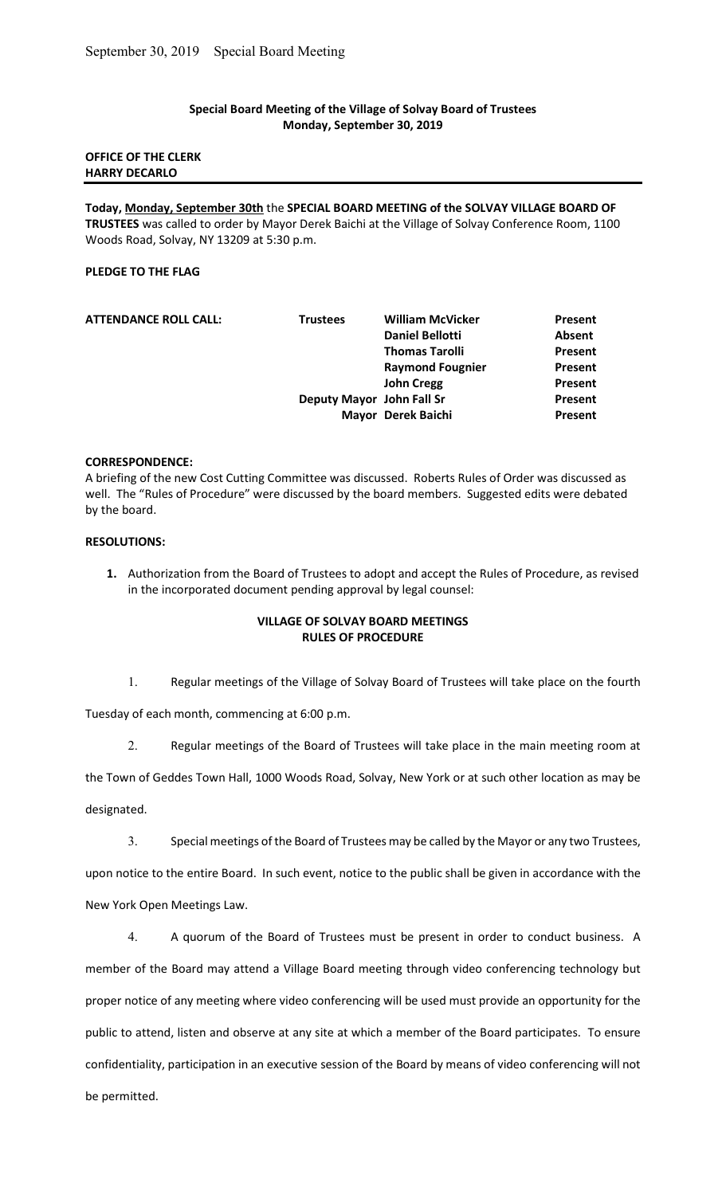#### Special Board Meeting of the Village of Solvay Board of Trustees Monday, September 30, 2019

### OFFICE OF THE CLERK HARRY DECARLO

Today, Monday, September 30th the SPECIAL BOARD MEETING of the SOLVAY VILLAGE BOARD OF TRUSTEES was called to order by Mayor Derek Baichi at the Village of Solvay Conference Room, 1100 Woods Road, Solvay, NY 13209 at 5:30 p.m.

# PLEDGE TO THE FLAG

| <b>ATTENDANCE ROLL CALL:</b> | <b>Trustees</b>           | <b>William McVicker</b> | Present |
|------------------------------|---------------------------|-------------------------|---------|
|                              |                           | <b>Daniel Bellotti</b>  | Absent  |
|                              |                           | <b>Thomas Tarolli</b>   | Present |
|                              |                           | <b>Raymond Fougnier</b> | Present |
|                              |                           | <b>John Cregg</b>       | Present |
|                              | Deputy Mayor John Fall Sr |                         | Present |
|                              |                           | Mayor Derek Baichi      | Present |
|                              |                           |                         |         |

#### CORRESPONDENCE:

A briefing of the new Cost Cutting Committee was discussed. Roberts Rules of Order was discussed as well. The "Rules of Procedure" were discussed by the board members. Suggested edits were debated by the board.

# RESOLUTIONS:

1. Authorization from the Board of Trustees to adopt and accept the Rules of Procedure, as revised in the incorporated document pending approval by legal counsel:

### VILLAGE OF SOLVAY BOARD MEETINGS RULES OF PROCEDURE

1. Regular meetings of the Village of Solvay Board of Trustees will take place on the fourth

Tuesday of each month, commencing at 6:00 p.m.

2. Regular meetings of the Board of Trustees will take place in the main meeting room at

the Town of Geddes Town Hall, 1000 Woods Road, Solvay, New York or at such other location as may be

designated.

3. Special meetings of the Board of Trustees may be called by the Mayor or any two Trustees,

upon notice to the entire Board. In such event, notice to the public shall be given in accordance with the New York Open Meetings Law.

4. A quorum of the Board of Trustees must be present in order to conduct business. A member of the Board may attend a Village Board meeting through video conferencing technology but proper notice of any meeting where video conferencing will be used must provide an opportunity for the public to attend, listen and observe at any site at which a member of the Board participates. To ensure confidentiality, participation in an executive session of the Board by means of video conferencing will not be permitted.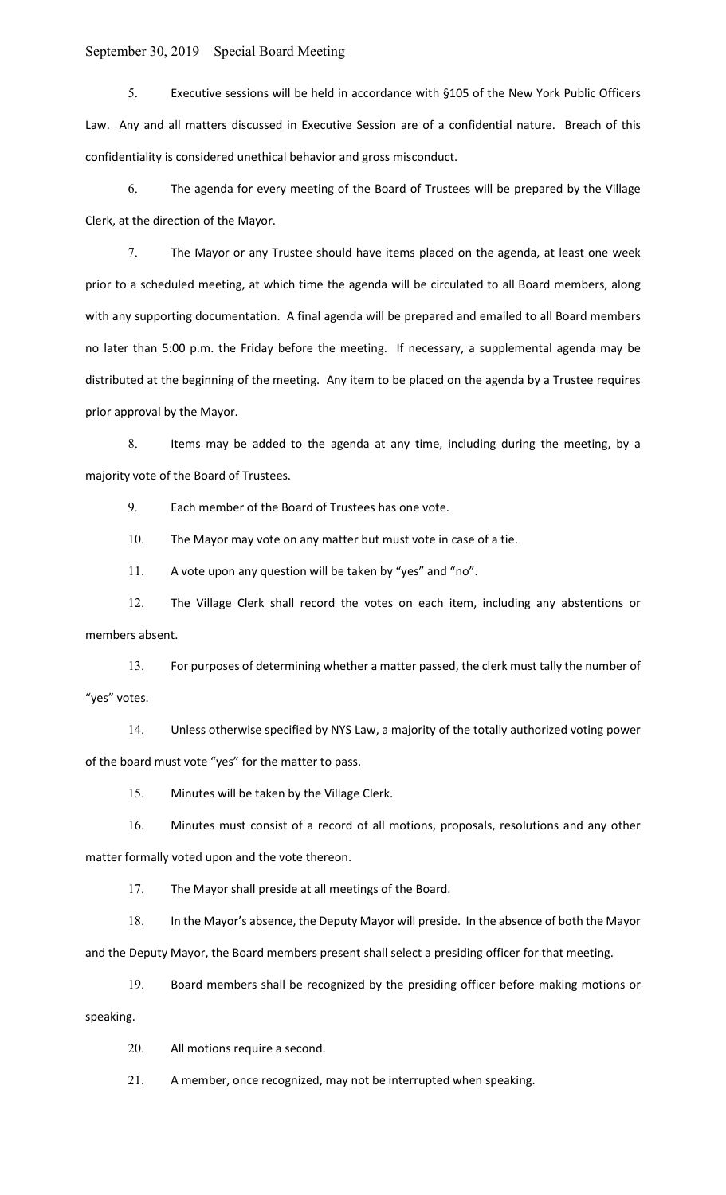# September 30, 2019 Special Board Meeting

5. Executive sessions will be held in accordance with §105 of the New York Public Officers Law. Any and all matters discussed in Executive Session are of a confidential nature. Breach of this confidentiality is considered unethical behavior and gross misconduct.

6. The agenda for every meeting of the Board of Trustees will be prepared by the Village Clerk, at the direction of the Mayor.

7. The Mayor or any Trustee should have items placed on the agenda, at least one week prior to a scheduled meeting, at which time the agenda will be circulated to all Board members, along with any supporting documentation. A final agenda will be prepared and emailed to all Board members no later than 5:00 p.m. the Friday before the meeting. If necessary, a supplemental agenda may be distributed at the beginning of the meeting. Any item to be placed on the agenda by a Trustee requires prior approval by the Mayor.

8. Items may be added to the agenda at any time, including during the meeting, by a majority vote of the Board of Trustees.

9. Each member of the Board of Trustees has one vote.

10. The Mayor may vote on any matter but must vote in case of a tie.

11. A vote upon any question will be taken by "yes" and "no".

12. The Village Clerk shall record the votes on each item, including any abstentions or members absent.

13. For purposes of determining whether a matter passed, the clerk must tally the number of "yes" votes.

14. Unless otherwise specified by NYS Law, a majority of the totally authorized voting power of the board must vote "yes" for the matter to pass.

15. Minutes will be taken by the Village Clerk.

16. Minutes must consist of a record of all motions, proposals, resolutions and any other matter formally voted upon and the vote thereon.

17. The Mayor shall preside at all meetings of the Board.

18. In the Mayor's absence, the Deputy Mayor will preside. In the absence of both the Mayor and the Deputy Mayor, the Board members present shall select a presiding officer for that meeting.

19. Board members shall be recognized by the presiding officer before making motions or

speaking.

20. All motions require a second.

21. A member, once recognized, may not be interrupted when speaking.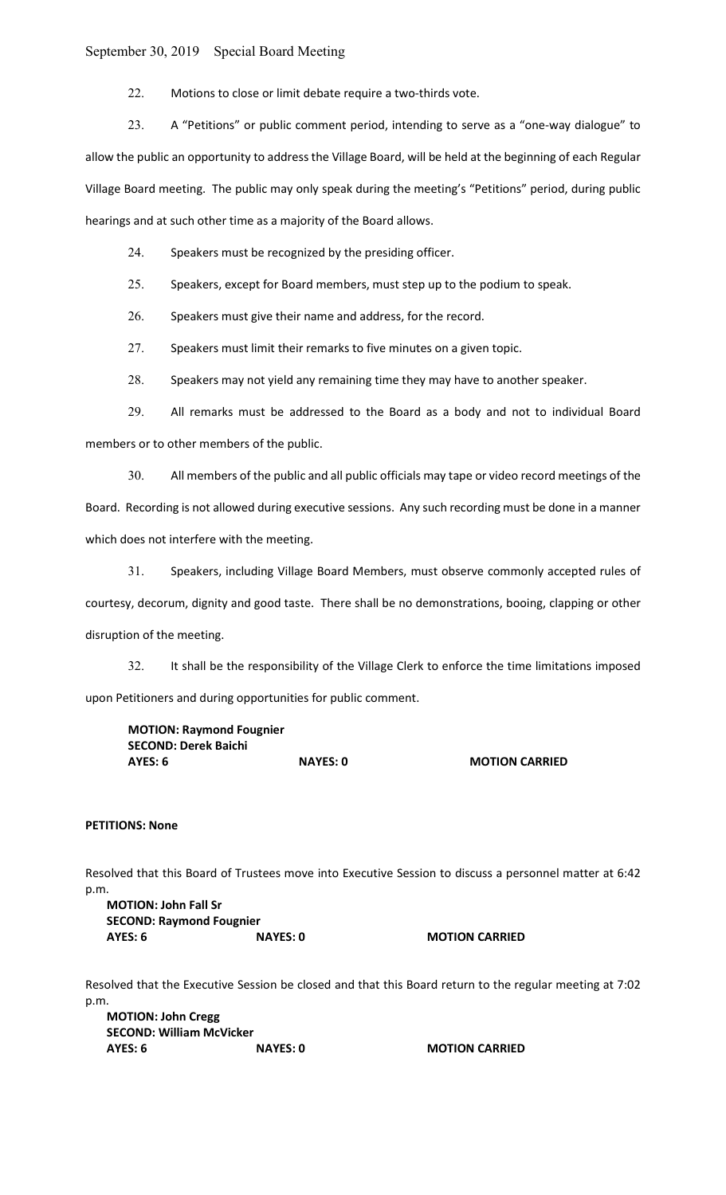### September 30, 2019 Special Board Meeting

22. Motions to close or limit debate require a two-thirds vote.

23. A "Petitions" or public comment period, intending to serve as a "one-way dialogue" to allow the public an opportunity to address the Village Board, will be held at the beginning of each Regular Village Board meeting. The public may only speak during the meeting's "Petitions" period, during public hearings and at such other time as a majority of the Board allows.

24. Speakers must be recognized by the presiding officer.

25. Speakers, except for Board members, must step up to the podium to speak.

26. Speakers must give their name and address, for the record.

27. Speakers must limit their remarks to five minutes on a given topic.

28. Speakers may not yield any remaining time they may have to another speaker.

29. All remarks must be addressed to the Board as a body and not to individual Board members or to other members of the public.

30. All members of the public and all public officials may tape or video record meetings of the Board. Recording is not allowed during executive sessions. Any such recording must be done in a manner which does not interfere with the meeting.

31. Speakers, including Village Board Members, must observe commonly accepted rules of courtesy, decorum, dignity and good taste. There shall be no demonstrations, booing, clapping or other disruption of the meeting.

32. It shall be the responsibility of the Village Clerk to enforce the time limitations imposed upon Petitioners and during opportunities for public comment.

MOTION: Raymond Fougnier SECOND: Derek Baichi AYES: 6 NAYES: 0 MOTION CARRIED

### PETITIONS: None

Resolved that this Board of Trustees move into Executive Session to discuss a personnel matter at 6:42 p.m.

MOTION: John Fall Sr SECOND: Raymond Fougnier AYES: 6 NAYES: 0 NAYES: 0 MOTION CARRIED

Resolved that the Executive Session be closed and that this Board return to the regular meeting at 7:02 p.m.

MOTION: John Cregg SECOND: William McVicker AYES: 6 NAYES: 0 MOTION CARRIED